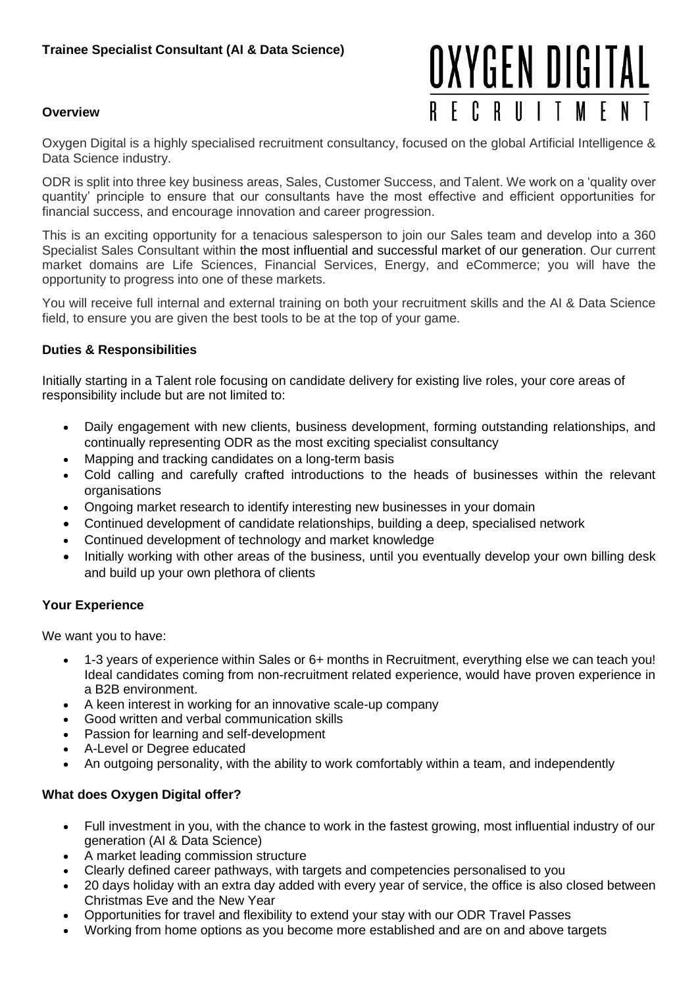### **Overview**

# OXYGEN DIGITAL **RECRUITMEN**

Oxygen Digital is a highly specialised recruitment consultancy, focused on the global Artificial Intelligence & Data Science industry.

ODR is split into three key business areas, Sales, Customer Success, and Talent. We work on a 'quality over quantity' principle to ensure that our consultants have the most effective and efficient opportunities for financial success, and encourage innovation and career progression.

This is an exciting opportunity for a tenacious salesperson to join our Sales team and develop into a 360 Specialist Sales Consultant within the most influential and successful market of our generation. Our current market domains are Life Sciences, Financial Services, Energy, and eCommerce; you will have the opportunity to progress into one of these markets.

You will receive full internal and external training on both your recruitment skills and the AI & Data Science field, to ensure you are given the best tools to be at the top of your game.

# **Duties & Responsibilities**

Initially starting in a Talent role focusing on candidate delivery for existing live roles, your core areas of responsibility include but are not limited to:

- Daily engagement with new clients, business development, forming outstanding relationships, and continually representing ODR as the most exciting specialist consultancy
- Mapping and tracking candidates on a long-term basis
- Cold calling and carefully crafted introductions to the heads of businesses within the relevant organisations
- Ongoing market research to identify interesting new businesses in your domain
- Continued development of candidate relationships, building a deep, specialised network
- Continued development of technology and market knowledge
- Initially working with other areas of the business, until you eventually develop your own billing desk and build up your own plethora of clients

# **Your Experience**

We want you to have:

- 1-3 years of experience within Sales or 6+ months in Recruitment, everything else we can teach you! Ideal candidates coming from non-recruitment related experience, would have proven experience in a B2B environment.
- A keen interest in working for an innovative scale-up company
- Good written and verbal communication skills
- Passion for learning and self-development
- A-Level or Degree educated
- An outgoing personality, with the ability to work comfortably within a team, and independently

### **What does Oxygen Digital offer?**

- Full investment in you, with the chance to work in the fastest growing, most influential industry of our generation (AI & Data Science)
- A market leading commission structure
- Clearly defined career pathways, with targets and competencies personalised to you
- 20 days holiday with an extra day added with every year of service, the office is also closed between Christmas Eve and the New Year
- Opportunities for travel and flexibility to extend your stay with our ODR Travel Passes
- Working from home options as you become more established and are on and above targets